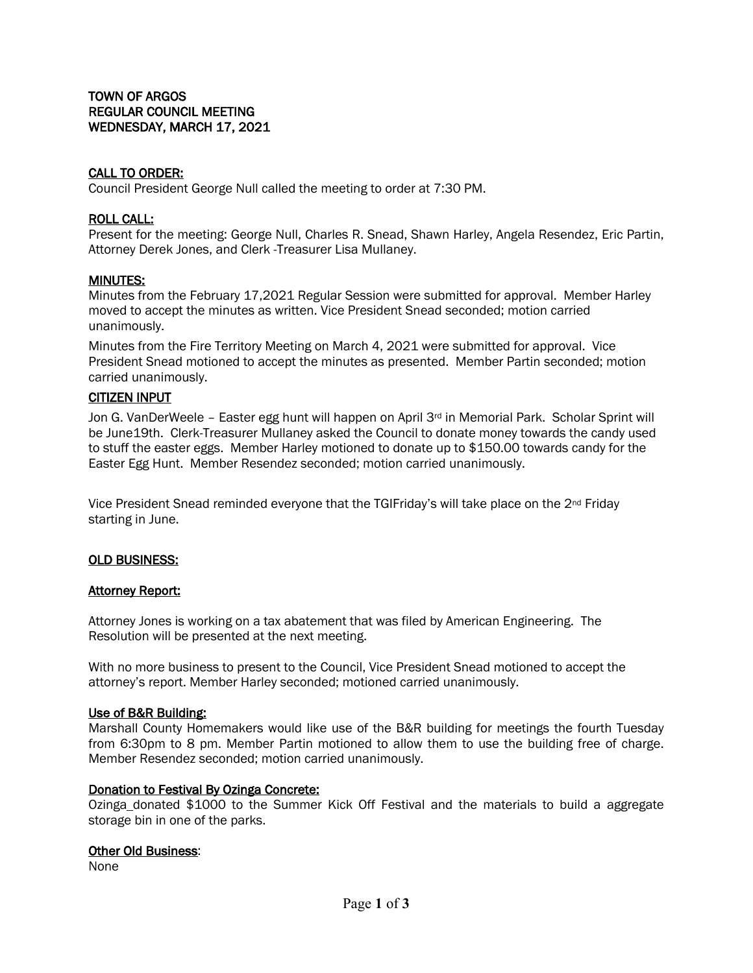## CALL TO ORDER:

Council President George Null called the meeting to order at 7:30 PM.

### ROLL CALL:

Present for the meeting: George Null, Charles R. Snead, Shawn Harley, Angela Resendez, Eric Partin, Attorney Derek Jones, and Clerk -Treasurer Lisa Mullaney.

### MINUTES:

Minutes from the February 17,2021 Regular Session were submitted for approval. Member Harley moved to accept the minutes as written. Vice President Snead seconded; motion carried unanimously.

Minutes from the Fire Territory Meeting on March 4, 2021 were submitted for approval. Vice President Snead motioned to accept the minutes as presented. Member Partin seconded; motion carried unanimously.

### CITIZEN INPUT

Jon G. VanDerWeele – Easter egg hunt will happen on April  $3<sup>rd</sup>$  in Memorial Park. Scholar Sprint will be June19th. Clerk-Treasurer Mullaney asked the Council to donate money towards the candy used to stuff the easter eggs. Member Harley motioned to donate up to \$150.00 towards candy for the Easter Egg Hunt. Member Resendez seconded; motion carried unanimously.

Vice President Snead reminded everyone that the TGIFriday's will take place on the 2nd Friday starting in June.

#### OLD BUSINESS:

#### **Attorney Report:**

Attorney Jones is working on a tax abatement that was filed by American Engineering. The Resolution will be presented at the next meeting.

With no more business to present to the Council, Vice President Snead motioned to accept the attorney's report. Member Harley seconded; motioned carried unanimously.

#### Use of B&R Building:

Marshall County Homemakers would like use of the B&R building for meetings the fourth Tuesday from 6:30pm to 8 pm. Member Partin motioned to allow them to use the building free of charge. Member Resendez seconded; motion carried unanimously.

## Donation to Festival By Ozinga Concrete:

Ozinga donated \$1000 to the Summer Kick Off Festival and the materials to build a aggregate storage bin in one of the parks.

### Other Old Business:

None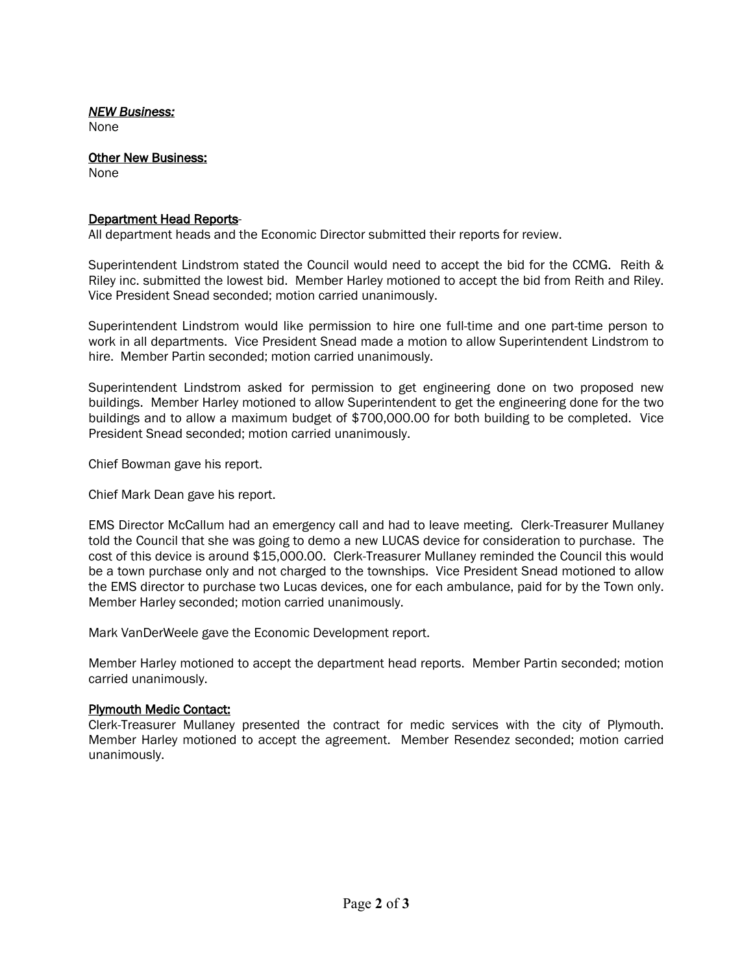## *NEW Business:*

None

Other New Business:

None

# Department Head Reports-

All department heads and the Economic Director submitted their reports for review.

Superintendent Lindstrom stated the Council would need to accept the bid for the CCMG. Reith & Riley inc. submitted the lowest bid. Member Harley motioned to accept the bid from Reith and Riley. Vice President Snead seconded; motion carried unanimously.

Superintendent Lindstrom would like permission to hire one full-time and one part-time person to work in all departments. Vice President Snead made a motion to allow Superintendent Lindstrom to hire. Member Partin seconded; motion carried unanimously.

Superintendent Lindstrom asked for permission to get engineering done on two proposed new buildings. Member Harley motioned to allow Superintendent to get the engineering done for the two buildings and to allow a maximum budget of \$700,000.00 for both building to be completed. Vice President Snead seconded; motion carried unanimously.

Chief Bowman gave his report.

Chief Mark Dean gave his report.

EMS Director McCallum had an emergency call and had to leave meeting. Clerk-Treasurer Mullaney told the Council that she was going to demo a new LUCAS device for consideration to purchase. The cost of this device is around \$15,000.00. Clerk-Treasurer Mullaney reminded the Council this would be a town purchase only and not charged to the townships. Vice President Snead motioned to allow the EMS director to purchase two Lucas devices, one for each ambulance, paid for by the Town only. Member Harley seconded; motion carried unanimously.

Mark VanDerWeele gave the Economic Development report.

Member Harley motioned to accept the department head reports. Member Partin seconded; motion carried unanimously.

# Plymouth Medic Contact:

Clerk-Treasurer Mullaney presented the contract for medic services with the city of Plymouth. Member Harley motioned to accept the agreement. Member Resendez seconded; motion carried unanimously.